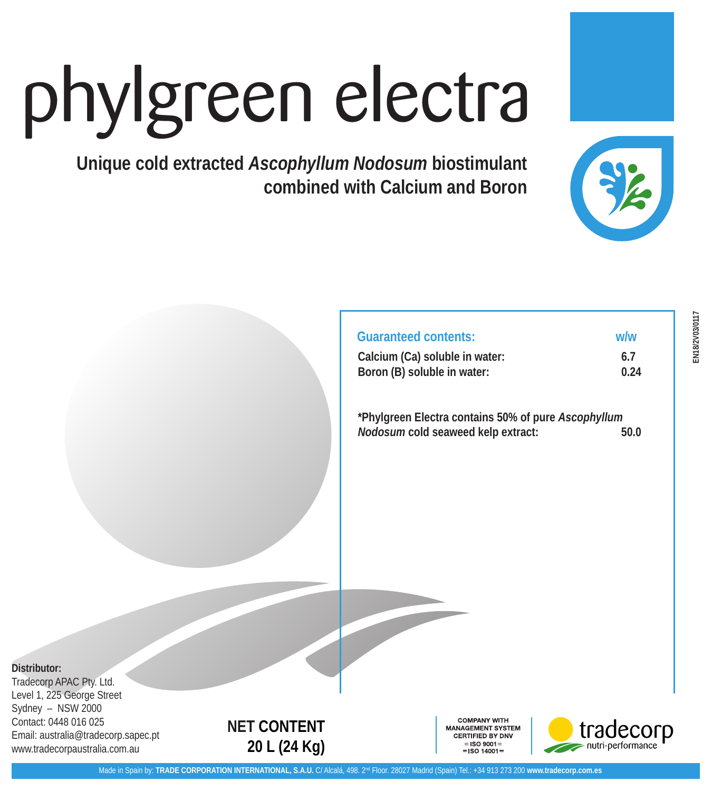# phylgreen electra

**Unique cold extracted** *Ascophyllum Nodosum* **biostimulant combined with Calcium and Boron**



| w/w         |
|-------------|
| 6.7<br>0.24 |
|             |

**\*Phylgreen Electra contains 50% of pure** *Ascophyllum Nodosum* **cold seaweed kelp extract: 50.0**

**Distributor:**

Tradecorp APAC Pty. Ltd. Level 1, 225 George Street Sydney – NSW 2000 Contact: 0448 016 025 Email: australia@tradecorp.sapec.pt www.tradecorpaustralia.com.au

## **NET CONTENT 20 L (24 Kg)**

**COMPANY WITH IANAGEMENT SYSTEM** CERTIFIED BY DNV =ISO 9001= LSO 14001-